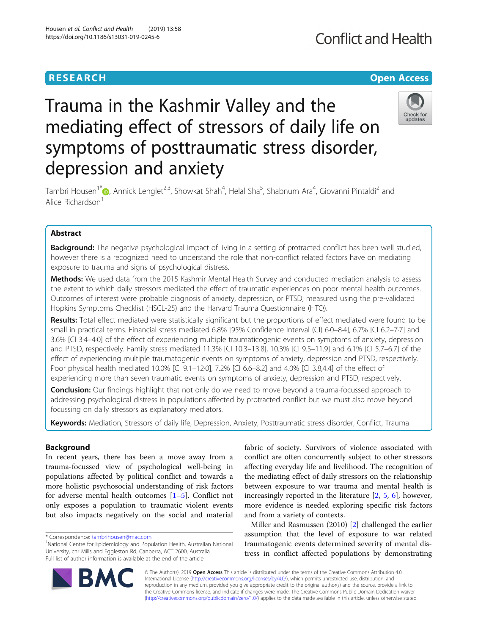## **RESEARCH CHE Open Access**

# Trauma in the Kashmir Valley and the mediating effect of stressors of daily life on symptoms of posttraumatic stress disorder, depression and anxiety



Tambri Housen $^{\text{1*}}$  $^{\text{1*}}$  $^{\text{1*}}$ ©, Annick Lenglet<sup>2,3</sup>, Showkat Shah<sup>4</sup>, Helal Sha<sup>5</sup>, Shabnum Ara<sup>4</sup>, Giovanni Pintaldi<sup>2</sup> and Alice Richardson<sup>1</sup>

### Abstract

Background: The negative psychological impact of living in a setting of protracted conflict has been well studied, however there is a recognized need to understand the role that non-conflict related factors have on mediating exposure to trauma and signs of psychological distress.

Methods: We used data from the 2015 Kashmir Mental Health Survey and conducted mediation analysis to assess the extent to which daily stressors mediated the effect of traumatic experiences on poor mental health outcomes. Outcomes of interest were probable diagnosis of anxiety, depression, or PTSD; measured using the pre-validated Hopkins Symptoms Checklist (HSCL-25) and the Harvard Trauma Questionnaire (HTQ).

Results: Total effect mediated were statistically significant but the proportions of effect mediated were found to be small in practical terms. Financial stress mediated 6.8% [95% Confidence Interval (CI) 6∙0–8∙4], 6.7% [CI 6.2–7∙7] and 3.6% [CI 3∙4–4∙0] of the effect of experiencing multiple traumaticogenic events on symptoms of anxiety, depression and PTSD, respectively. Family stress mediated 11.3% [CI 10.3–13.8], 10.3% [CI 9.5–11.9] and 6.1% [CI 5.7–6.7] of the effect of experiencing multiple traumatogenic events on symptoms of anxiety, depression and PTSD, respectively. Poor physical health mediated 10.0% [CI 9.1–12∙0], 7.2% [CI 6.6–8.2] and 4.0% [CI 3.8,4.4] of the effect of experiencing more than seven traumatic events on symptoms of anxiety, depression and PTSD, respectively.

**Conclusion:** Our findings highlight that not only do we need to move beyond a trauma-focussed approach to addressing psychological distress in populations affected by protracted conflict but we must also move beyond focussing on daily stressors as explanatory mediators.

Keywords: Mediation, Stressors of daily life, Depression, Anxiety, Posttraumatic stress disorder, Conflict, Trauma

#### Background

In recent years, there has been a move away from a trauma-focussed view of psychological well-being in populations affected by political conflict and towards a more holistic psychosocial understanding of risk factors for adverse mental health outcomes [[1](#page-6-0)–[5\]](#page-7-0). Conflict not only exposes a population to traumatic violent events but also impacts negatively on the social and material

<sup>&</sup>lt;sup>1</sup>National Centre for Epidemiology and Population Health, Australian National University, cnr Mills and Eggleston Rd, Canberra, ACT 2600, Australia Full list of author information is available at the end of the article



Miller and Rasmussen (2010) [\[2](#page-6-0)] challenged the earlier assumption that the level of exposure to war related traumatogenic events determined severity of mental distress in conflict affected populations by demonstrating

© The Author(s). 2019 **Open Access** This article is distributed under the terms of the Creative Commons Attribution 4.0 International License [\(http://creativecommons.org/licenses/by/4.0/](http://creativecommons.org/licenses/by/4.0/)), which permits unrestricted use, distribution, and reproduction in any medium, provided you give appropriate credit to the original author(s) and the source, provide a link to the Creative Commons license, and indicate if changes were made. The Creative Commons Public Domain Dedication waiver [\(http://creativecommons.org/publicdomain/zero/1.0/](http://creativecommons.org/publicdomain/zero/1.0/)) applies to the data made available in this article, unless otherwise stated.



<sup>\*</sup> Correspondence: [tambrihousen@mac.com](mailto:tambrihousen@mac.com) <sup>1</sup>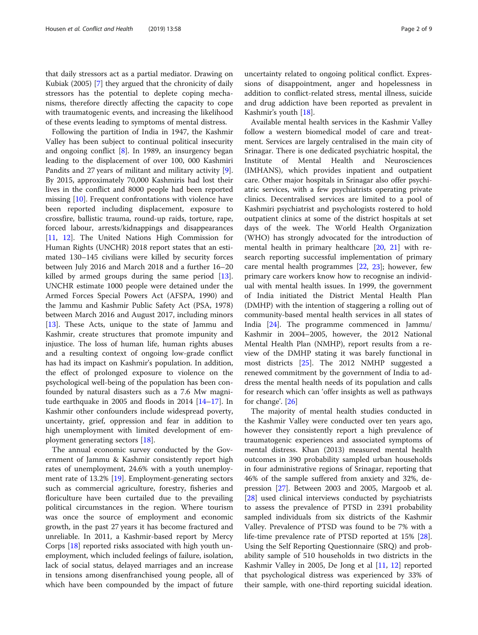that daily stressors act as a partial mediator. Drawing on Kubiak (2005) [\[7](#page-7-0)] they argued that the chronicity of daily stressors has the potential to deplete coping mechanisms, therefore directly affecting the capacity to cope with traumatogenic events, and increasing the likelihood of these events leading to symptoms of mental distress.

Following the partition of India in 1947, the Kashmir Valley has been subject to continual political insecurity and ongoing conflict [[8\]](#page-7-0). In 1989, an insurgency began leading to the displacement of over 100, 000 Kashmiri Pandits and 27 years of militant and military activity [\[9](#page-7-0)]. By 2015, approximately 70,000 Kashmiris had lost their lives in the conflict and 8000 people had been reported missing [[10\]](#page-7-0). Frequent confrontations with violence have been reported including displacement, exposure to crossfire, ballistic trauma, round-up raids, torture, rape, forced labour, arrests/kidnappings and disappearances [[11,](#page-7-0) [12\]](#page-7-0). The United Nations High Commission for Human Rights (UNCHR) 2018 report states that an estimated 130–145 civilians were killed by security forces between July 2016 and March 2018 and a further 16–20 killed by armed groups during the same period  $[13]$  $[13]$ . UNCHR estimate 1000 people were detained under the Armed Forces Special Powers Act (AFSPA, 1990) and the Jammu and Kashmir Public Safety Act (PSA, 1978) between March 2016 and August 2017, including minors [[13\]](#page-7-0). These Acts, unique to the state of Jammu and Kashmir, create structures that promote impunity and injustice. The loss of human life, human rights abuses and a resulting context of ongoing low-grade conflict has had its impact on Kashmir's population. In addition, the effect of prolonged exposure to violence on the psychological well-being of the population has been confounded by natural disasters such as a 7.6 Mw magnitude earthquake in 2005 and floods in 2014 [\[14](#page-7-0)–[17\]](#page-7-0). In Kashmir other confounders include widespread poverty, uncertainty, grief, oppression and fear in addition to high unemployment with limited development of employment generating sectors [\[18](#page-7-0)].

The annual economic survey conducted by the Government of Jammu & Kashmir consistently report high rates of unemployment, 24.6% with a youth unemployment rate of 13.2% [[19\]](#page-7-0). Employment-generating sectors such as commercial agriculture, forestry, fisheries and floriculture have been curtailed due to the prevailing political circumstances in the region. Where tourism was once the source of employment and economic growth, in the past 27 years it has become fractured and unreliable. In 2011, a Kashmir-based report by Mercy Corps [\[18](#page-7-0)] reported risks associated with high youth unemployment, which included feelings of failure, isolation, lack of social status, delayed marriages and an increase in tensions among disenfranchised young people, all of which have been compounded by the impact of future

uncertainty related to ongoing political conflict. Expressions of disappointment, anger and hopelessness in addition to conflict-related stress, mental illness, suicide and drug addiction have been reported as prevalent in Kashmir's youth [\[18](#page-7-0)].

Available mental health services in the Kashmir Valley follow a western biomedical model of care and treatment. Services are largely centralised in the main city of Srinagar. There is one dedicated psychiatric hospital, the Institute of Mental Health and Neurosciences (IMHANS), which provides inpatient and outpatient care. Other major hospitals in Srinagar also offer psychiatric services, with a few psychiatrists operating private clinics. Decentralised services are limited to a pool of Kashmiri psychiatrist and psychologists rostered to hold outpatient clinics at some of the district hospitals at set days of the week. The World Health Organization (WHO) has strongly advocated for the introduction of mental health in primary healthcare [[20,](#page-7-0) [21\]](#page-7-0) with research reporting successful implementation of primary care mental health programmes [\[22](#page-7-0), [23\]](#page-7-0); however, few primary care workers know how to recognise an individual with mental health issues. In 1999, the government of India initiated the District Mental Health Plan (DMHP) with the intention of staggering a rolling out of community-based mental health services in all states of India [[24](#page-7-0)]. The programme commenced in Jammu/ Kashmir in 2004–2005, however, the 2012 National Mental Health Plan (NMHP), report results from a review of the DMHP stating it was barely functional in most districts [[25\]](#page-7-0). The 2012 NMHP suggested a renewed commitment by the government of India to address the mental health needs of its population and calls for research which can 'offer insights as well as pathways for change'. [\[26\]](#page-7-0)

The majority of mental health studies conducted in the Kashmir Valley were conducted over ten years ago, however they consistently report a high prevalence of traumatogenic experiences and associated symptoms of mental distress. Khan (2013) measured mental health outcomes in 390 probability sampled urban households in four administrative regions of Srinagar, reporting that 46% of the sample suffered from anxiety and 32%, depression [\[27](#page-7-0)]. Between 2003 and 2005, Margoob et al. [[28\]](#page-7-0) used clinical interviews conducted by psychiatrists to assess the prevalence of PTSD in 2391 probability sampled individuals from six districts of the Kashmir Valley. Prevalence of PTSD was found to be 7% with a life-time prevalence rate of PTSD reported at 15% [\[28](#page-7-0)]. Using the Self Reporting Questionnaire (SRQ) and probability sample of 510 households in two districts in the Kashmir Valley in 2005, De Jong et al [\[11](#page-7-0), [12\]](#page-7-0) reported that psychological distress was experienced by 33% of their sample, with one-third reporting suicidal ideation.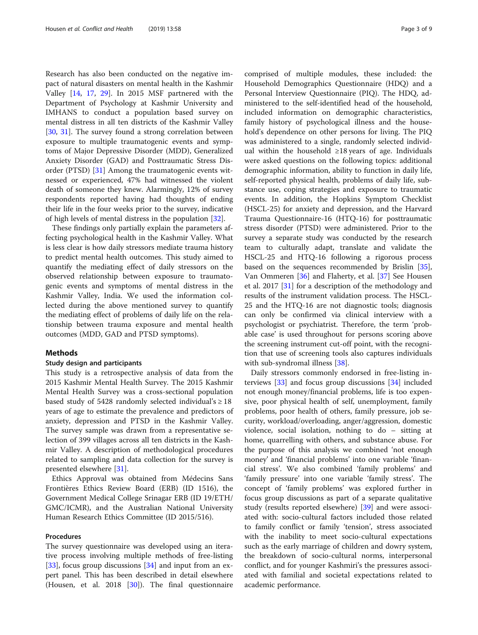Research has also been conducted on the negative impact of natural disasters on mental health in the Kashmir Valley [\[14](#page-7-0), [17,](#page-7-0) [29\]](#page-7-0). In 2015 MSF partnered with the Department of Psychology at Kashmir University and IMHANS to conduct a population based survey on mental distress in all ten districts of the Kashmir Valley [[30,](#page-7-0) [31](#page-7-0)]. The survey found a strong correlation between exposure to multiple traumatogenic events and symptoms of Major Depressive Disorder (MDD), Generalized Anxiety Disorder (GAD) and Posttraumatic Stress Disorder (PTSD) [[31](#page-7-0)] Among the traumatogenic events witnessed or experienced, 47% had witnessed the violent death of someone they knew. Alarmingly, 12% of survey respondents reported having had thoughts of ending their life in the four weeks prior to the survey, indicative of high levels of mental distress in the population [[32\]](#page-7-0).

These findings only partially explain the parameters affecting psychological health in the Kashmir Valley. What is less clear is how daily stressors mediate trauma history to predict mental health outcomes. This study aimed to quantify the mediating effect of daily stressors on the observed relationship between exposure to traumatogenic events and symptoms of mental distress in the Kashmir Valley, India. We used the information collected during the above mentioned survey to quantify the mediating effect of problems of daily life on the relationship between trauma exposure and mental health outcomes (MDD, GAD and PTSD symptoms).

#### Methods

#### Study design and participants

This study is a retrospective analysis of data from the 2015 Kashmir Mental Health Survey. The 2015 Kashmir Mental Health Survey was a cross-sectional population based study of 5428 randomly selected individual's  $\geq$  18 years of age to estimate the prevalence and predictors of anxiety, depression and PTSD in the Kashmir Valley. The survey sample was drawn from a representative selection of 399 villages across all ten districts in the Kashmir Valley. A description of methodological procedures related to sampling and data collection for the survey is presented elsewhere [\[31\]](#page-7-0).

Ethics Approval was obtained from Médecins Sans Frontières Ethics Review Board (ERB) (ID 1516), the Government Medical College Srinagar ERB (ID 19/ETH/ GMC/ICMR), and the Australian National University Human Research Ethics Committee (ID 2015/516).

#### Procedures

The survey questionnaire was developed using an iterative process involving multiple methods of free-listing [[33\]](#page-7-0), focus group discussions [\[34](#page-7-0)] and input from an expert panel. This has been described in detail elsewhere (Housen, et al. 2018 [\[30](#page-7-0)]). The final questionnaire

comprised of multiple modules, these included: the Household Demographics Questionnaire (HDQ) and a Personal Interview Questionnaire (PIQ). The HDQ, administered to the self-identified head of the household, included information on demographic characteristics, family history of psychological illness and the household's dependence on other persons for living. The PIQ was administered to a single, randomly selected individual within the household ≥18 years of age. Individuals were asked questions on the following topics: additional demographic information, ability to function in daily life, self-reported physical health, problems of daily life, substance use, coping strategies and exposure to traumatic events. In addition, the Hopkins Symptom Checklist (HSCL-25) for anxiety and depression, and the Harvard Trauma Questionnaire-16 (HTQ-16) for posttraumatic stress disorder (PTSD) were administered. Prior to the survey a separate study was conducted by the research team to culturally adapt, translate and validate the HSCL-25 and HTQ-16 following a rigorous process based on the sequences recommended by Brislin [\[35](#page-7-0)], Van Ommeren [\[36](#page-7-0)] and Flaherty, et al. [\[37](#page-7-0)] See Housen et al. 2017 [\[31](#page-7-0)] for a description of the methodology and results of the instrument validation process. The HSCL-25 and the HTQ-16 are not diagnostic tools; diagnosis can only be confirmed via clinical interview with a psychologist or psychiatrist. Therefore, the term 'probable case' is used throughout for persons scoring above the screening instrument cut-off point, with the recognition that use of screening tools also captures individuals with sub-syndromal illness [\[38](#page-7-0)].

Daily stressors commonly endorsed in free-listing interviews [\[33\]](#page-7-0) and focus group discussions [[34](#page-7-0)] included not enough money/financial problems, life is too expensive, poor physical health of self, unemployment, family problems, poor health of others, family pressure, job security, workload/overloading, anger/aggression, domestic violence, social isolation, nothing to do – sitting at home, quarrelling with others, and substance abuse. For the purpose of this analysis we combined 'not enough money' and 'financial problems' into one variable 'financial stress'. We also combined 'family problems' and 'family pressure' into one variable 'family stress'. The concept of 'family problems' was explored further in focus group discussions as part of a separate qualitative study (results reported elsewhere) [\[39](#page-7-0)] and were associated with: socio-cultural factors included those related to family conflict or family 'tension', stress associated with the inability to meet socio-cultural expectations such as the early marriage of children and dowry system, the breakdown of socio-cultural norms, interpersonal conflict, and for younger Kashmiri's the pressures associated with familial and societal expectations related to academic performance.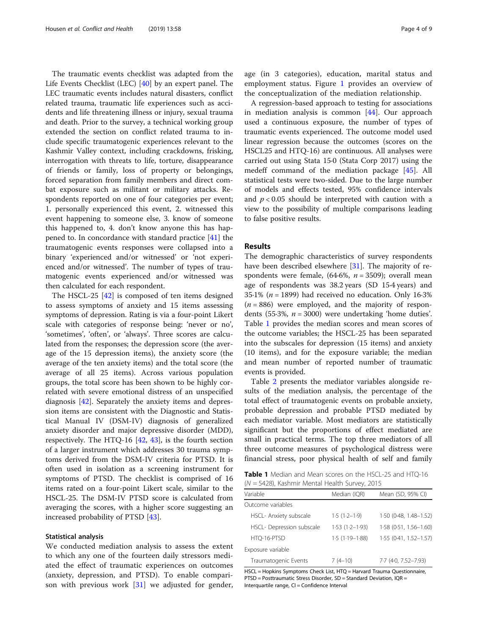The traumatic events checklist was adapted from the Life Events Checklist (LEC) [\[40](#page-7-0)] by an expert panel. The LEC traumatic events includes natural disasters, conflict related trauma, traumatic life experiences such as accidents and life threatening illness or injury, sexual trauma and death. Prior to the survey, a technical working group extended the section on conflict related trauma to include specific traumatogenic experiences relevant to the Kashmir Valley context, including crackdowns, frisking, interrogation with threats to life, torture, disappearance of friends or family, loss of property or belongings, forced separation from family members and direct combat exposure such as militant or military attacks. Respondents reported on one of four categories per event; 1. personally experienced this event, 2. witnessed this event happening to someone else, 3. know of someone this happened to, 4. don't know anyone this has happened to. In concordance with standard practice [[41\]](#page-7-0) the traumatogenic events responses were collapsed into a binary 'experienced and/or witnessed' or 'not experienced and/or witnessed'. The number of types of traumatogenic events experienced and/or witnessed was then calculated for each respondent.

The HSCL-25 [\[42](#page-7-0)] is composed of ten items designed to assess symptoms of anxiety and 15 items assessing symptoms of depression. Rating is via a four-point Likert scale with categories of response being: 'never or no', 'sometimes', 'often', or 'always'. Three scores are calculated from the responses; the depression score (the average of the 15 depression items), the anxiety score (the average of the ten anxiety items) and the total score (the average of all 25 items). Across various population groups, the total score has been shown to be highly correlated with severe emotional distress of an unspecified diagnosis [\[42](#page-7-0)]. Separately the anxiety items and depression items are consistent with the Diagnostic and Statistical Manual IV (DSM-IV) diagnosis of generalized anxiety disorder and major depressive disorder (MDD), respectively. The HTQ-16 [[42,](#page-7-0) [43](#page-7-0)], is the fourth section of a larger instrument which addresses 30 trauma symptoms derived from the DSM-IV criteria for PTSD. It is often used in isolation as a screening instrument for symptoms of PTSD. The checklist is comprised of 16 items rated on a four-point Likert scale, similar to the HSCL-25. The DSM-IV PTSD score is calculated from averaging the scores, with a higher score suggesting an increased probability of PTSD [[43\]](#page-7-0).

#### Statistical analysis

We conducted mediation analysis to assess the extent to which any one of the fourteen daily stressors mediated the effect of traumatic experiences on outcomes (anxiety, depression, and PTSD). To enable comparison with previous work  $[31]$  $[31]$  we adjusted for gender, age (in 3 categories), education, marital status and employment status. Figure [1](#page-4-0) provides an overview of the conceptualization of the mediation relationship.

A regression-based approach to testing for associations in mediation analysis is common [\[44\]](#page-7-0). Our approach used a continuous exposure, the number of types of traumatic events experienced. The outcome model used linear regression because the outcomes (scores on the HSCL25 and HTQ-16) are continuous. All analyses were carried out using Stata 15∙0 (Stata Corp 2017) using the medeff command of the mediation package [[45](#page-7-0)]. All statistical tests were two-sided. Due to the large number of models and effects tested, 95% confidence intervals and  $p < 0.05$  should be interpreted with caution with a view to the possibility of multiple comparisons leading to false positive results.

#### Results

The demographic characteristics of survey respondents have been described elsewhere [[31\]](#page-7-0). The majority of respondents were female, (64⋅6%,  $n = 3509$ ); overall mean age of respondents was 38.2 years (SD 15∙4 years) and 35∙1% (n = 1899) had received no education. Only 16∙3%  $(n = 886)$  were employed, and the majority of respondents (55⋅3%,  $n = 3000$ ) were undertaking 'home duties'. Table 1 provides the median scores and mean scores of the outcome variables; the HSCL-25 has been separated into the subscales for depression (15 items) and anxiety (10 items), and for the exposure variable; the median and mean number of reported number of traumatic events is provided.

Table [2](#page-4-0) presents the mediator variables alongside results of the mediation analysis, the percentage of the total effect of traumatogenic events on probable anxiety, probable depression and probable PTSD mediated by each mediator variable. Most mediators are statistically significant but the proportions of effect mediated are small in practical terms. The top three mediators of all three outcome measures of psychological distress were financial stress, poor physical health of self and family

Table 1 Median and Mean scores on the HSCL-25 and HTQ-16 (N = 5428), Kashmir Mental Health Survey, 2015

| Variable                  | Median (IQR)       | Mean (SD, 95% CI)      |
|---------------------------|--------------------|------------------------|
| Outcome variables         |                    |                        |
| HSCL- Anxiety subscale    | $1.5(1.2-1.9)$     | 1.50 (0.48, 1.48-1.52) |
| HSCL- Depression subscale | $1.53(1.2 - 1.93)$ | 1.58 (0.51, 1.56-1.60) |
| HTO-16-PTSD               | $1.5(1.19 - 1.88)$ | 1.55 (0.41, 1.52-1.57) |
| Exposure variable         |                    |                        |
| Traumatogenic Events      | $7(4-10)$          | 7.7 (4.0, 7.52-7.93)   |

HSCL = Hopkins Symptoms Check List, HTQ = Harvard Trauma Questionnaire, PTSD = Posttraumatic Stress Disorder, SD = Standard Deviation, IQR = Interquartile range, CI = Confidence Interval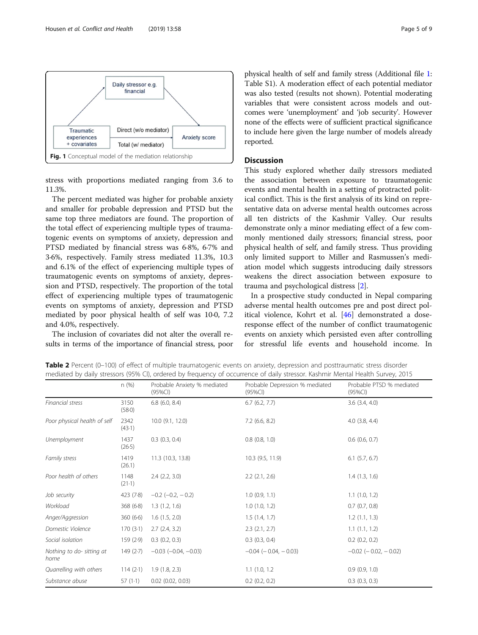<span id="page-4-0"></span>

stress with proportions mediated ranging from 3.6 to 11.3%.

The percent mediated was higher for probable anxiety and smaller for probable depression and PTSD but the same top three mediators are found. The proportion of the total effect of experiencing multiple types of traumatogenic events on symptoms of anxiety, depression and PTSD mediated by financial stress was 6∙8%, 6∙7% and 3∙6%, respectively. Family stress mediated 11.3%, 10.3 and 6.1% of the effect of experiencing multiple types of traumatogenic events on symptoms of anxiety, depression and PTSD, respectively. The proportion of the total effect of experiencing multiple types of traumatogenic events on symptoms of anxiety, depression and PTSD mediated by poor physical health of self was 10∙0, 7.2 and 4.0%, respectively.

The inclusion of covariates did not alter the overall results in terms of the importance of financial stress, poor

physical health of self and family stress (Additional file [1](#page-6-0): Table S1). A moderation effect of each potential mediator was also tested (results not shown). Potential moderating variables that were consistent across models and outcomes were 'unemployment' and 'job security'. However none of the effects were of sufficient practical significance to include here given the large number of models already reported.

#### **Discussion**

This study explored whether daily stressors mediated the association between exposure to traumatogenic events and mental health in a setting of protracted political conflict. This is the first analysis of its kind on representative data on adverse mental health outcomes across all ten districts of the Kashmir Valley. Our results demonstrate only a minor mediating effect of a few commonly mentioned daily stressors; financial stress, poor physical health of self, and family stress. Thus providing only limited support to Miller and Rasmussen's mediation model which suggests introducing daily stressors weakens the direct association between exposure to trauma and psychological distress [[2\]](#page-6-0).

In a prospective study conducted in Nepal comparing adverse mental health outcomes pre and post direct political violence, Kohrt et al. [\[46](#page-7-0)] demonstrated a doseresponse effect of the number of conflict traumatogenic events on anxiety which persisted even after controlling for stressful life events and household income. In

Table 2 Percent (0–100) of effect of multiple traumatogenic events on anxiety, depression and posttraumatic stress disorder mediated by daily stressors (95% CI), ordered by frequency of occurrence of daily stressor. Kashmir Mental Health Survey, 2015

|                                   | n(%)             | Probable Anxiety % mediated<br>$(95\%CI)$ | Probable Depression % mediated<br>$(95\%CI)$ | Probable PTSD % mediated<br>$(95\%CI)$ |
|-----------------------------------|------------------|-------------------------------------------|----------------------------------------------|----------------------------------------|
| Financial stress                  | 3150<br>(58.0)   | $6.8$ (6.0, 8.4)                          | 6.7(6.2, 7.7)                                | $3.6$ $(3.4, 4.0)$                     |
| Poor physical health of self      | 2342<br>(43.1)   | $10.0$ $(9.1, 12.0)$                      | $7.2$ (6.6, 8.2)                             | $4.0$ $(3.8, 4.4)$                     |
| Unemployment                      | 1437<br>(26.5)   | $0.3$ $(0.3, 0.4)$                        | $0.8$ $(0.8, 1.0)$                           | $0.6$ $(0.6, 0.7)$                     |
| Family stress                     | 1419<br>(26.1)   | 11.3 (10.3, 13.8)                         | $10.3$ (9.5, 11.9)                           | $6.1$ $(5.7, 6.7)$                     |
| Poor health of others             | 1148<br>$(21-1)$ | $2.4$ $(2.2, 3.0)$                        | $2.2$ $(2.1, 2.6)$                           | 1.4(1.3, 1.6)                          |
| Job security                      | 423 (7.8)        | $-0.2$ $(-0.2, -0.2)$                     | 1.0(0.9, 1.1)                                | 1.1(1.0, 1.2)                          |
| Workload                          | 368(6.8)         | 1.3(1.2, 1.6)                             | 1.0(1.0, 1.2)                                | $0.7$ $(0.7, 0.8)$                     |
| Anger/Aggression                  | 360(6.6)         | 1.6(1.5, 2.0)                             | 1.5(1.4, 1.7)                                | 1.2(1.1, 1.3)                          |
| Domestic Violence                 | 170(3.1)         | $2.7$ (2.4, 3.2)                          | $2.3$ $(2.1, 2.7)$                           | 1.1(1.1, 1.2)                          |
| Social isolation                  | 159 (2.9)        | $0.3$ $(0.2, 0.3)$                        | $0.3$ $(0.3, 0.4)$                           | $0.2$ $(0.2, 0.2)$                     |
| Nothing to do- sitting at<br>home | 149(2.7)         | $-0.03$ $(-0.04, -0.03)$                  | $-0.04$ ( $-0.04$ , $-0.03$ )                | $-0.02$ ( $-0.02$ , $-0.02$ )          |
| Quarrelling with others           | 114(2.1)         | 1.9(1.8, 2.3)                             | 1.1(1.0, 1.2)                                | 0.9(0.9, 1.0)                          |
| Substance abuse                   | 57 $(1-1)$       | $0.02$ $(0.02, 0.03)$                     | $0.2$ $(0.2, 0.2)$                           | $0.3$ $(0.3, 0.3)$                     |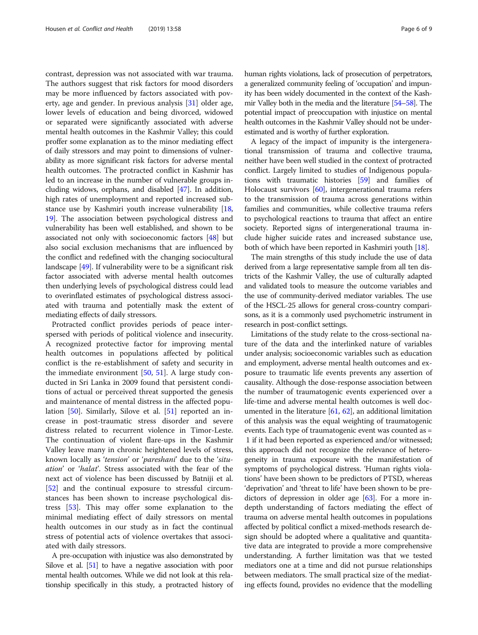contrast, depression was not associated with war trauma. The authors suggest that risk factors for mood disorders may be more influenced by factors associated with poverty, age and gender. In previous analysis [\[31](#page-7-0)] older age, lower levels of education and being divorced, widowed or separated were significantly associated with adverse mental health outcomes in the Kashmir Valley; this could proffer some explanation as to the minor mediating effect of daily stressors and may point to dimensions of vulnerability as more significant risk factors for adverse mental health outcomes. The protracted conflict in Kashmir has led to an increase in the number of vulnerable groups including widows, orphans, and disabled  $[47]$  $[47]$  $[47]$ . In addition, high rates of unemployment and reported increased substance use by Kashmiri youth increase vulnerability [[18](#page-7-0), [19](#page-7-0)]. The association between psychological distress and vulnerability has been well established, and shown to be associated not only with socioeconomic factors [\[48\]](#page-7-0) but also social exclusion mechanisms that are influenced by the conflict and redefined with the changing sociocultural landscape [[49](#page-7-0)]. If vulnerability were to be a significant risk factor associated with adverse mental health outcomes then underlying levels of psychological distress could lead to overinflated estimates of psychological distress associated with trauma and potentially mask the extent of mediating effects of daily stressors.

Protracted conflict provides periods of peace interspersed with periods of political violence and insecurity. A recognized protective factor for improving mental health outcomes in populations affected by political conflict is the re-establishment of safety and security in the immediate environment [[50,](#page-7-0) [51\]](#page-7-0). A large study conducted in Sri Lanka in 2009 found that persistent conditions of actual or perceived threat supported the genesis and maintenance of mental distress in the affected population [[50](#page-7-0)]. Similarly, Silove et al. [[51](#page-7-0)] reported an increase in post-traumatic stress disorder and severe distress related to recurrent violence in Timor-Leste. The continuation of violent flare-ups in the Kashmir Valley leave many in chronic heightened levels of stress, known locally as 'tension' or 'pareshani' due to the 'situation' or 'halat'. Stress associated with the fear of the next act of violence has been discussed by Batniji et al. [[52\]](#page-7-0) and the continual exposure to stressful circumstances has been shown to increase psychological distress [\[53](#page-7-0)]. This may offer some explanation to the minimal mediating effect of daily stressors on mental health outcomes in our study as in fact the continual stress of potential acts of violence overtakes that associated with daily stressors.

A pre-occupation with injustice was also demonstrated by Silove et al. [\[51\]](#page-7-0) to have a negative association with poor mental health outcomes. While we did not look at this relationship specifically in this study, a protracted history of human rights violations, lack of prosecution of perpetrators, a generalized community feeling of 'occupation' and impunity has been widely documented in the context of the Kashmir Valley both in the media and the literature [\[54](#page-7-0)–[58](#page-7-0)]. The potential impact of preoccupation with injustice on mental health outcomes in the Kashmir Valley should not be underestimated and is worthy of further exploration.

A legacy of the impact of impunity is the intergenerational transmission of trauma and collective trauma, neither have been well studied in the context of protracted conflict. Largely limited to studies of Indigenous populations with traumatic histories [[59](#page-7-0)] and families of Holocaust survivors [[60](#page-8-0)], intergenerational trauma refers to the transmission of trauma across generations within families and communities, while collective trauma refers to psychological reactions to trauma that affect an entire society. Reported signs of intergenerational trauma include higher suicide rates and increased substance use, both of which have been reported in Kashmiri youth [\[18\]](#page-7-0).

The main strengths of this study include the use of data derived from a large representative sample from all ten districts of the Kashmir Valley, the use of culturally adapted and validated tools to measure the outcome variables and the use of community-derived mediator variables. The use of the HSCL-25 allows for general cross-country comparisons, as it is a commonly used psychometric instrument in research in post-conflict settings.

Limitations of the study relate to the cross-sectional nature of the data and the interlinked nature of variables under analysis; socioeconomic variables such as education and employment, adverse mental health outcomes and exposure to traumatic life events prevents any assertion of causality. Although the dose-response association between the number of traumatogenic events experienced over a life-time and adverse mental health outcomes is well documented in the literature  $[61, 62]$  $[61, 62]$  $[61, 62]$  $[61, 62]$ , an additional limitation of this analysis was the equal weighting of traumatogenic events. Each type of traumatogenic event was counted as = 1 if it had been reported as experienced and/or witnessed; this approach did not recognize the relevance of heterogeneity in trauma exposure with the manifestation of symptoms of psychological distress. 'Human rights violations' have been shown to be predictors of PTSD, whereas 'deprivation' and 'threat to life' have been shown to be predictors of depression in older age [[63\]](#page-8-0). For a more indepth understanding of factors mediating the effect of trauma on adverse mental health outcomes in populations affected by political conflict a mixed-methods research design should be adopted where a qualitative and quantitative data are integrated to provide a more comprehensive understanding. A further limitation was that we tested mediators one at a time and did not pursue relationships between mediators. The small practical size of the mediating effects found, provides no evidence that the modelling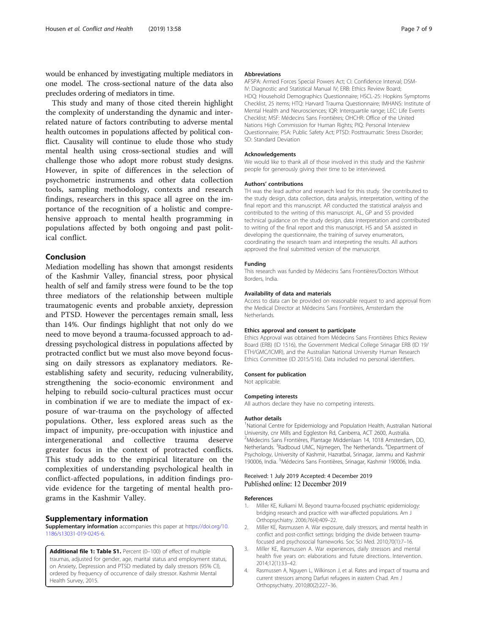<span id="page-6-0"></span>would be enhanced by investigating multiple mediators in one model. The cross-sectional nature of the data also precludes ordering of mediators in time.

This study and many of those cited therein highlight the complexity of understanding the dynamic and interrelated nature of factors contributing to adverse mental health outcomes in populations affected by political conflict. Causality will continue to elude those who study mental health using cross-sectional studies and will challenge those who adopt more robust study designs. However, in spite of differences in the selection of psychometric instruments and other data collection tools, sampling methodology, contexts and research findings, researchers in this space all agree on the importance of the recognition of a holistic and comprehensive approach to mental health programming in populations affected by both ongoing and past political conflict.

#### Conclusion

Mediation modelling has shown that amongst residents of the Kashmir Valley, financial stress, poor physical health of self and family stress were found to be the top three mediators of the relationship between multiple traumatogenic events and probable anxiety, depression and PTSD. However the percentages remain small, less than 14%. Our findings highlight that not only do we need to move beyond a trauma-focussed approach to addressing psychological distress in populations affected by protracted conflict but we must also move beyond focussing on daily stressors as explanatory mediators. Reestablishing safety and security, reducing vulnerability, strengthening the socio-economic environment and helping to rebuild socio-cultural practices must occur in combination if we are to mediate the impact of exposure of war-trauma on the psychology of affected populations. Other, less explored areas such as the impact of impunity, pre-occupation with injustice and intergenerational and collective trauma deserve greater focus in the context of protracted conflicts. This study adds to the empirical literature on the complexities of understanding psychological health in conflict-affected populations, in addition findings provide evidence for the targeting of mental health programs in the Kashmir Valley.

#### Supplementary information

Supplementary information accompanies this paper at [https://doi.org/10.](https://doi.org/10.1186/s13031-019-0245-6) [1186/s13031-019-0245-6.](https://doi.org/10.1186/s13031-019-0245-6)

Additional file 1: Table S1. Percent (0-100) of effect of multiple traumas, adjusted for gender, age, marital status and employment status, on Anxiety, Depression and PTSD mediated by daily stressors (95% CI), ordered by frequency of occurrence of daily stressor. Kashmir Mental Health Survey, 2015.

#### Abbreviations

AFSPA: Armed Forces Special Powers Act; CI: Confidence Interval; DSM-IV: Diagnostic and Statistical Manual IV; ERB: Ethics Review Board; HDQ: Household Demographics Questionnaire; HSCL-25: Hopkins Symptoms Checklist, 25 items; HTQ: Harvard Trauma Questionnaire; IMHANS: Institute of Mental Health and Neurosciences; IQR: Interquartile range; LEC: Life Events Checklist; MSF: Médecins Sans Frontières; OHCHR: Office of the United Nations High Commission for Human Rights; PIQ: Personal Interview Questionnaire; PSA: Public Safety Act; PTSD: Posttraumatic Stress Disorder; SD: Standard Deviation

#### Acknowledgements

We would like to thank all of those involved in this study and the Kashmir people for generously giving their time to be interviewed.

#### Authors' contributions

TH was the lead author and research lead for this study. She contributed to the study design, data collection, data analysis, interpretation, writing of the final report and this manuscript. AR conducted the statistical analysis and contributed to the writing of this manuscript. AL, GP and SS provided technical guidance on the study design, data interpretation and contributed to writing of the final report and this manuscript. HS and SA assisted in developing the questionnaire, the training of survey enumerators, coordinating the research team and interpreting the results. All authors approved the final submitted version of the manuscript.

#### Funding

This research was funded by Médecins Sans Frontières/Doctors Without Borders, India.

#### Availability of data and materials

Access to data can be provided on reasonable request to and approval from the Medical Director at Médecins Sans Frontières, Amsterdam the Netherlands.

#### Ethics approval and consent to participate

Ethics Approval was obtained from Médecins Sans Frontières Ethics Review Board (ERB) (ID 1516), the Government Medical College Srinagar ERB (ID 19/ ETH/GMC/ICMR), and the Australian National University Human Research Ethics Committee (ID 2015/516). Data included no personal identifiers.

#### Consent for publication

Not applicable.

#### Competing interests

All authors declare they have no competing interests.

#### Author details

<sup>1</sup>National Centre for Epidemiology and Population Health, Australian National University, cnr Mills and Eggleston Rd, Canberra, ACT 2600, Australia. 2 Médecins Sans Frontières, Plantage Middenlaan 14, 1018 Amsterdam, DD, Netherlands. <sup>3</sup>Radboud UMC, Nijmegen, The Netherlands. <sup>4</sup>Department of Psychology, University of Kashmir, Hazratbal, Srinagar, Jammu and Kashmir 190006, India. <sup>5</sup>Médecins Sans Frontières, Srinagar, Kashmir 190006, India.

#### Received: 1 July 2019 Accepted: 4 December 2019 Published online: 12 December 2019

#### References

- Miller KE, Kulkarni M. Beyond trauma-focused psychiatric epidemiology: bridging research and practice with war-affected populations. Am J Orthopsychiatry. 2006;76(4):409–22.
- 2. Miller KE, Rasmussen A. War exposure, daily stressors, and mental health in conflict and post-conflict settings: bridging the divide between traumafocused and psychosocial frameworks. Soc Sci Med. 2010;70(1):7–16.
- 3. Miller KE, Rasmussen A. War experiences, daily stressors and mental health five years on: elaborations and future directions. Intervention. 2014;12(1):33–42.
- 4. Rasmussen A, Nguyen L, Wilkinson J, et al. Rates and impact of trauma and current stressors among Darfuri refugees in eastern Chad. Am J Orthopsychiatry. 2010;80(2):227–36.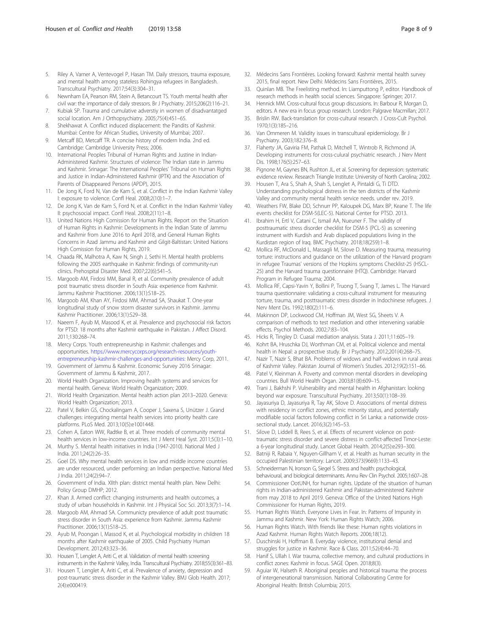- <span id="page-7-0"></span>5. Riley A, Varner A, Ventevogel P, Hasan TM. Daily stressors, trauma exposure, and mental health among stateless Rohingya refugees in Bangladesh. Transcultural Psychiatry. 2017;54(3):304–31.
- 6. Newnham EA, Pearson RM, Stein A, Betancourt TS. Youth mental health after civil war: the importance of daily stressors. Br J Psychiatry. 2015;206(2):116–21.
- 7. Kubiak SP. Trauma and cumulative adverstiy in women of disadvantatged social location. Am J Orthopsychiatry. 2005;75(4):451–65.
- 8. Shekhawat A. Conflict induced displacement: the Pandits of Kashmir. Mumbai: Centre for African Studies, University of Mumbai; 2007.
- 9. Metcaff BD, Metcaff TR. A concise history of modern India. 2nd ed. Cambridge: Cambridge University Press; 2006.
- 10. International Peoples Tribunal of Human Rights and Justine in Indian-Administered Kashmir. Structures of violence: The Indian state in Jammu and Kashmir. Srinagar: The International Peoples' Tribunal on Human Rights and Justice in Indian-Administered Kashmir (IPTK) and the Association of Parents of Disappeared Persons (APDP), 2015.
- 11. De Jong K, Ford N, Van de Kam S, et al. Conflict in the Indian Kashmir Valley I: exposure to violence. Confl Heal. 2008;2(10):1–7.
- 12. De Jong K, Van de Kam S, Ford N, et al. Conflict in the Indian Kashmir Valley II: psychosocial impact. Confl Heal. 2008;2(11):1–8.
- 13. United Nations High Comission for Human Rights. Report on the Situation of Human Rights in Kashmir: Developments in the Indian State of Jammu and Kashmir from June 2016 to April 2018, and General Human Rights Concerns in Azad Jammu and Kashmir and Gilgit-Baltistan: United Nations High Comission for Human Rights, 2019.
- 14. Chaada RK, Malhotra A, Kaw N, Singh J, Sethi H. Mental health problems following the 2005 earthquake in Kashmir: findings of community-run clinics. Prehospital Disaster Med. 2007;22(6):541–5.
- 15. Margoob AM, Firdosi MM, Banal R, et al. Community prevalence of adult post traumatic stress disorder in South Asia: experience from Kashmir. Jammu Kashmir Practitioner. 2006;13(1):S18–25.
- 16. Margoob AM, Khan AY, Firdosi MM, Ahmad SA, Shaukat T. One-year longitudinal study of snow storm disaster survivors in Kashmir. Jammu Kashmir Practitioner. 2006;13(1):S29–38.
- 17. Naeem F, Ayub M, Masood K, et al. Prevalence and psychosocial risk factors for PTSD: 18 months after Kashmir earthquake in Pakistan. J Affect Disord. 2011;130:268–74.
- 18. Mercy Corps. Youth entrepreneurship in Kashmir: challenges and opportunities. [https://www.mercycorps.org/research-resources/youth](https://www.mercycorps.org/research-resources/youth-entrepreneurship-kashmir-challenges-and-opportunities:)[entrepreneurship-kashmir-challenges-and-opportunities:](https://www.mercycorps.org/research-resources/youth-entrepreneurship-kashmir-challenges-and-opportunities:) Mercy Corp, 2011.
- 19. Government of Jammu & Kashmir. Economic Survey 2016 Srinagar: Government of Jammu & Kashmir, 2017.
- 20. World Health Organization. Improving health systems and services for mental health. Geneva: World Health Organization; 2009.
- 21. World Health Organization. Mental health action plan 2013–2020. Geneva: World Health Organization; 2013.
- 22. Patel V, Belkin GS, Chockalingam A, Cooper J, Saxena S, Unützer J. Grand challenges: integrating mental health services into priority health care platforms. PLoS Med. 2013;10(5):e1001448.
- 23. Cohen A, Eaton WW, Radtke B, et al. Three models of community mental health services in low-income countries. Int J Ment Heal Syst. 2011;5(3):1–10.
- 24. Murthy S. Mental health initiatives in India (1947-2010). National Med J India. 2011;24(2):26–35.
- 25. Goel DS. Why mental health services in low and middle income countries are under resourced, under performing: an Indian perspective. National Med J India. 2011;24(2):94–7.
- 26. Government of India. XIIth plan: district mental health plan. New Delhi: Policy Group DMHP; 2012.
- 27. Khan JI. Armed conflict: changing instruments and health outcomes, a study of urban households in Kashmir. Int J Physical Soc Sci. 2013;3(7):1–14.
- 28. Margoob AM, Ahmad SA. Communicty prevalence of adult post traumatic stress disorder in South Asia: experience from Kashmir. Jammu Kashmir Practitioner. 2006;13(1):S18–25.
- 29. Ayub M, Poongan I, Massod K, et al. Psychological morbidity in children 18 months after Kashmir earthquake of 2005. Child Psychiatry Human Development. 2012;43:323–36.
- 30. Housen T, Lenglet A, Ariti C, et al. Validation of mental health screening instruments in the Kashmir Valley, India. Transcultural Psychiatry. 2018;55(3):361–83.
- 31. Housen T, Lenglet A, Ariti C, et al. Prevalence of anxiety, depression and post-traumatic stress disorder in the Kashmir Valley. BMJ Glob Health. 2017; 2(4):e000419.
- 32. Médecins Sans Frontières. Looking forward: Kashmir mental health survey 2015, final report. New Delhi: Médecins Sans Frontières, 2015.
- 33. Quinlan MB. The Freelisting method. In: Liamputtong P, editor. Handbook of research methods in health social sciences. Singapore: Springer; 2017.
- 34. Hennick MM. Cross-cultural focus group discussions. In: Barbour R, Morgan D, editors. A new era in focus group research. London: Palgrave Macmillan; 2017.
- 35. Brislin RW. Back-translation for cross-cultural research. J Cross-Cult Psychol. 1970;1(3):185–216.
- 36. Van Ommeren M. Validity issues in transcultural epidemiology. Br J Psychiatry. 2003;182:376–8.
- 37. Flaherty JA, Gaviria FM, Pathak D, Mitchell T, Wintrob R, Richmond JA. Developing instruments for cross-culural psychiatric research. J Nerv Ment Dis. 1998;176(5):257–63.
- 38. Pignone M, Gaynes BN, Rushton JL, et al. Screening for depression: systematic evidence review. Research Triangle Institute: University of North Carolina; 2002.
- Housen T, Ara S, Shah A, Shah S, Lenglet A, Pintaldi G, Ti DTD. Understanding psychological distress in the ten districts of the Kashmir Valley and community mental health service needs. under rev. 2019.
- 40. Weathers FW, Blake DD, Schnurr PP, Kaloupek DG, Marx BP, Keane T. The life events checklist for DSM-5(LEC-5). National Center for PTSD. 2013.
- 41. Ibrahim H, Ertl V, Catani C, Ismail AA, Nueuner F. The validity of posttraumatic stress disorder checklist for DSM-5 (PCL-5) as screening instrument with Kurdish and Arab displaced populations living in the Kurdistan region of Iraq. BMC Psychiatry. 2018;18(259):1–8.
- 42. Mollica RF, McDonald L, Massagli M, Silove D. Measuring trauma, measuring torture: instructions and guidance on the utilization of the Harvard program in refugee Traumas' versions of the Hopkins symptoms Checklist-25 (HSCL-25) and the Harvard trauma questionnaire (HTQ). Cambridge: Harvard Program in Refugee Trauma; 2004.
- 43. Mollica RF, Capsi-Yavin Y, Bollini P, Truong T, Svang T, James L. The Harvard trauma questionnaire: validating a cross-cultural instrument for measuring torture, trauma, and posttraumatic stress disorder in Indochinese refugees. J Nerv Ment Dis. 1992;180(2):111–6.
- 44. Makinnon DP, Lockwood CM, Hoffman JM, West SG, Sheets V. A comparison of methods to test mediation and other intervening variable effects. Psychol Methods. 2002;7:83–104.
- 45. Hicks R, Tingley D. Cuasal mediation analysis. Stata J. 2011;11:605–19.
- Kohrt BA, Hruschka DJ, Worthman CM, et al. Political violence and mental health in Nepal: a prospective study. Br J Psychiatry. 2012;201(4):268–75.
- 47. Nazir T, Nazir S, Bhat BA. Problems of widows and half-widows in rural areas of Kashmir Valley. Pakistan Journal of Women's Studies. 2012;19(2):151–66.
- 48. Patel V, Kleinman A. Poverty and common mental disorders in developing countries. Bull World Health Organ. 2003;81(8):609–15.
- 49. Trani J, Bakhshi P. Vulnerability and mental health in Afghanistan: looking beyond war exposure. Transcultural Psychiatry. 2013;50(1):108–39.
- 50. Jayasuriya D, Jayasuriya R, Tay AK, Silove D. Associations of mental distress with residency in conflict zones, ethnic minority status, and potentially modifiable social factors following conflict in Sri Lanka: a nationwide crosssectional study. Lancet. 2016;3(2):145–53.
- 51. Silove D, Liddell B, Rees S, et al. Effects of recurrent violence on posttraumatic stress disorder and severe distress in conflict-affected Timor-Leste: a 6-year longitudinal study. Lancet Global Health. 2014;2(5):e293–300.
- 52. Batniji R, Rabaia Y, Nguyen-Gillham V, et al. Health as human security in the occupied Palestinian territory. Lancet. 2009;373(9669):1133–43.
- 53. Schneiderman N, Ironson G, Siegel S. Stress and health: psychological, behavioural, and biological determinants. Annu Rev Clin Psychol. 2005;1:607–28.
- 54. Commissioner OotUNH, for human rights. Update of the situation of human rights in Indian-administered Kashmir and Pakistan-administered Kashmir from may 2018 to April 2019. Geneva: Office of the United Nations High Commissioner for Human Rights, 2019.
- 55. Human Rights Watch. Everyone Lives in Fear. In: Patterns of Impunity in Jammu and Kashmir. New York: Human Rights Watch; 2006.
- 56. Human Rights Watch. With friends like these: Human rights violations in Azad Kashmir. Human Rights Watch Reports. 2006;18(12).
- 57. Duschinski H, Hoffman B. Everyday violence, institutional denial and struggles for justice in Kashmir. Race & Class. 2011;52(4):44–70.
- 58. Hanif S, Ullah I. War trauma, collective memory, and cultural productions in conflict zones: Kashmir in focus. SAGE Open. 2018;8(3).
- 59. Aguiar W, Halseth R. Aboriginal peoples and historical trauma: the process of intergenerational transmission. National Collaborating Centre for Aboriginal Health: British Columbia; 2015.